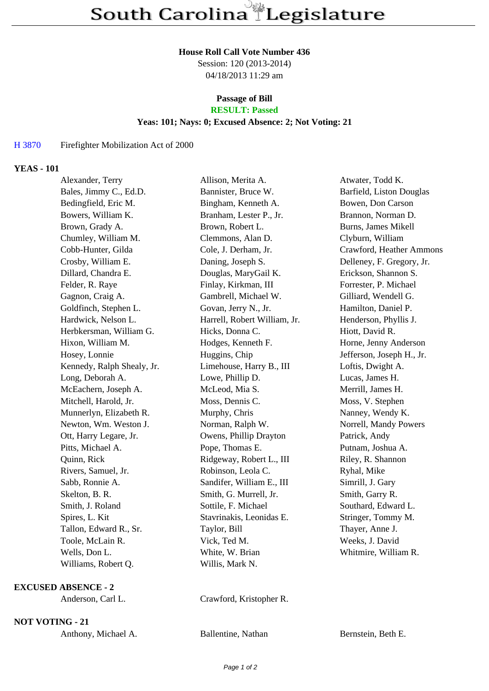#### **House Roll Call Vote Number 436**

Session: 120 (2013-2014) 04/18/2013 11:29 am

#### **Passage of Bill RESULT: Passed**

# **Yeas: 101; Nays: 0; Excused Absence: 2; Not Voting: 21**

# H 3870 Firefighter Mobilization Act of 2000

### **YEAS - 101**

| Alexander, Terry           | Allison, Merita A.           | Atwater, Todd K.          |
|----------------------------|------------------------------|---------------------------|
| Bales, Jimmy C., Ed.D.     | Bannister, Bruce W.          | Barfield, Liston Douglas  |
| Bedingfield, Eric M.       | Bingham, Kenneth A.          | Bowen, Don Carson         |
| Bowers, William K.         | Branham, Lester P., Jr.      | Brannon, Norman D.        |
| Brown, Grady A.            | Brown, Robert L.             | Burns, James Mikell       |
| Chumley, William M.        | Clemmons, Alan D.            | Clyburn, William          |
| Cobb-Hunter, Gilda         | Cole, J. Derham, Jr.         | Crawford, Heather Ammons  |
| Crosby, William E.         | Daning, Joseph S.            | Delleney, F. Gregory, Jr. |
| Dillard, Chandra E.        | Douglas, MaryGail K.         | Erickson, Shannon S.      |
| Felder, R. Raye            | Finlay, Kirkman, III         | Forrester, P. Michael     |
| Gagnon, Craig A.           | Gambrell, Michael W.         | Gilliard, Wendell G.      |
| Goldfinch, Stephen L.      | Govan, Jerry N., Jr.         | Hamilton, Daniel P.       |
| Hardwick, Nelson L.        | Harrell, Robert William, Jr. | Henderson, Phyllis J.     |
| Herbkersman, William G.    | Hicks, Donna C.              | Hiott, David R.           |
| Hixon, William M.          | Hodges, Kenneth F.           | Horne, Jenny Anderson     |
| Hosey, Lonnie              | Huggins, Chip                | Jefferson, Joseph H., Jr. |
| Kennedy, Ralph Shealy, Jr. | Limehouse, Harry B., III     | Loftis, Dwight A.         |
| Long, Deborah A.           | Lowe, Phillip D.             | Lucas, James H.           |
| McEachern, Joseph A.       | McLeod, Mia S.               | Merrill, James H.         |
| Mitchell, Harold, Jr.      | Moss, Dennis C.              | Moss, V. Stephen          |
| Munnerlyn, Elizabeth R.    | Murphy, Chris                | Nanney, Wendy K.          |
| Newton, Wm. Weston J.      | Norman, Ralph W.             | Norrell, Mandy Powers     |
| Ott, Harry Legare, Jr.     | Owens, Phillip Drayton       | Patrick, Andy             |
| Pitts, Michael A.          | Pope, Thomas E.              | Putnam, Joshua A.         |
| Quinn, Rick                | Ridgeway, Robert L., III     | Riley, R. Shannon         |
| Rivers, Samuel, Jr.        | Robinson, Leola C.           | Ryhal, Mike               |
| Sabb, Ronnie A.            | Sandifer, William E., III    | Simrill, J. Gary          |
| Skelton, B. R.             | Smith, G. Murrell, Jr.       | Smith, Garry R.           |
| Smith, J. Roland           | Sottile, F. Michael          | Southard, Edward L.       |
| Spires, L. Kit             | Stavrinakis, Leonidas E.     | Stringer, Tommy M.        |
| Tallon, Edward R., Sr.     | Taylor, Bill                 | Thayer, Anne J.           |
| Toole, McLain R.           | Vick, Ted M.                 | Weeks, J. David           |
| Wells, Don L.              | White, W. Brian              | Whitmire, William R.      |
| Williams, Robert Q.        | Willis, Mark N.              |                           |

# **EXCUSED ABSENCE - 2**

Anderson, Carl L. Crawford, Kristopher R.

**NOT VOTING - 21**

| Anthony, Michael A. | Ballentine, Nathan | Bernstein, Beth E. |
|---------------------|--------------------|--------------------|
|                     |                    |                    |